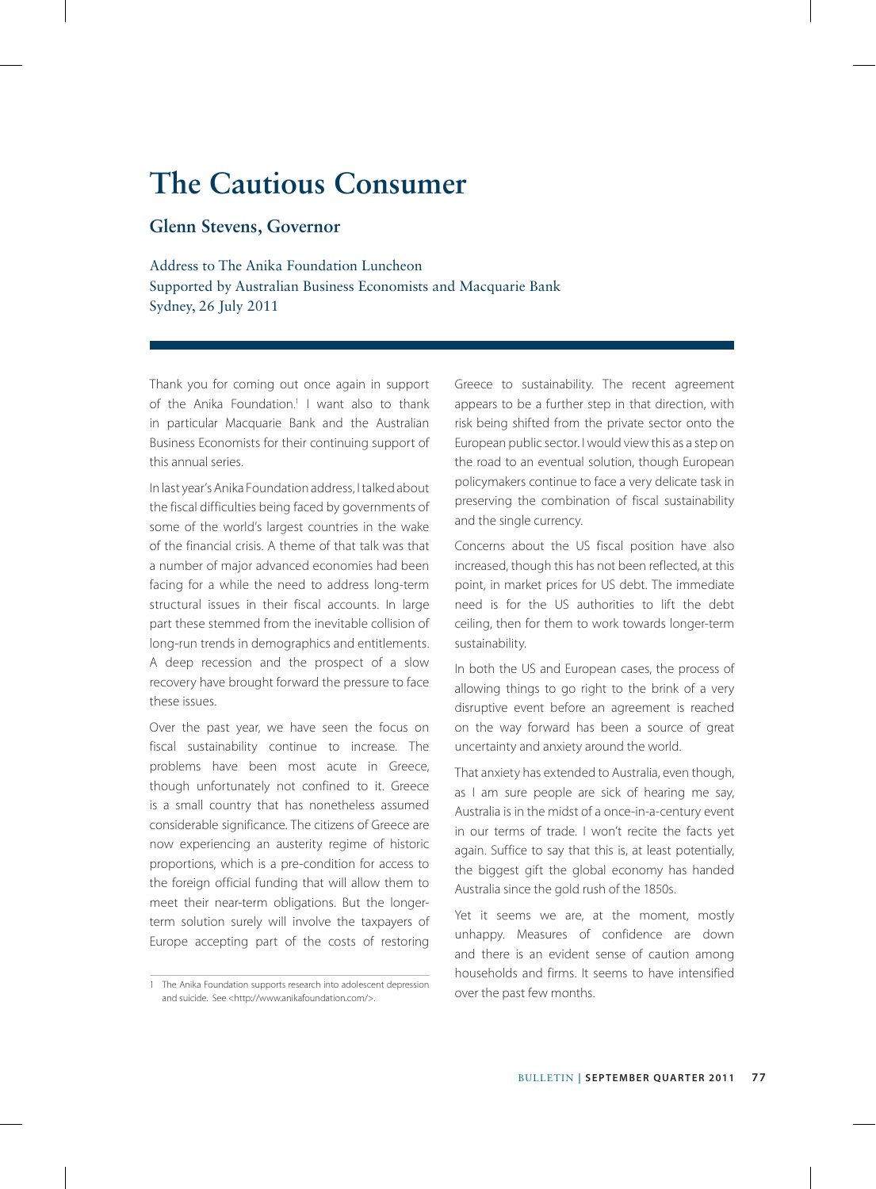# **The Cautious Consumer**

# **Glenn Stevens, Governor**

Address to The Anika Foundation Luncheon Supported by Australian Business Economists and Macquarie Bank Sydney, 26 July 2011

Thank you for coming out once again in support of the Anika Foundation.<sup>1</sup> I want also to thank in particular Macquarie Bank and the Australian Business Economists for their continuing support of this annual series.

In last year's Anika Foundation address, I talked about the fiscal difficulties being faced by governments of some of the world's largest countries in the wake of the financial crisis. A theme of that talk was that a number of major advanced economies had been facing for a while the need to address long-term structural issues in their fiscal accounts. In large part these stemmed from the inevitable collision of long-run trends in demographics and entitlements. A deep recession and the prospect of a slow recovery have brought forward the pressure to face these issues.

Over the past year, we have seen the focus on fiscal sustainability continue to increase. The problems have been most acute in Greece, though unfortunately not confined to it. Greece is a small country that has nonetheless assumed considerable significance. The citizens of Greece are now experiencing an austerity regime of historic proportions, which is a pre-condition for access to the foreign official funding that will allow them to meet their near-term obligations. But the longerterm solution surely will involve the taxpayers of Europe accepting part of the costs of restoring Greece to sustainability. The recent agreement appears to be a further step in that direction, with risk being shifted from the private sector onto the European public sector. I would view this as a step on the road to an eventual solution, though European policymakers continue to face a very delicate task in preserving the combination of fiscal sustainability and the single currency.

Concerns about the US fiscal position have also increased, though this has not been reflected, at this point, in market prices for US debt. The immediate need is for the US authorities to lift the debt ceiling, then for them to work towards longer-term sustainability.

In both the US and European cases, the process of allowing things to go right to the brink of a very disruptive event before an agreement is reached on the way forward has been a source of great uncertainty and anxiety around the world.

That anxiety has extended to Australia, even though, as I am sure people are sick of hearing me say, Australia is in the midst of a once-in-a-century event in our terms of trade. I won't recite the facts yet again. Suffice to say that this is, at least potentially, the biggest gift the global economy has handed Australia since the gold rush of the 1850s.

Yet it seems we are, at the moment, mostly unhappy. Measures of confidence are down and there is an evident sense of caution among households and firms. It seems to have intensified over the past few months.

<sup>1</sup> The Anika Foundation supports research into adolescent depression and suicide. See <http://www.anikafoundation.com/>.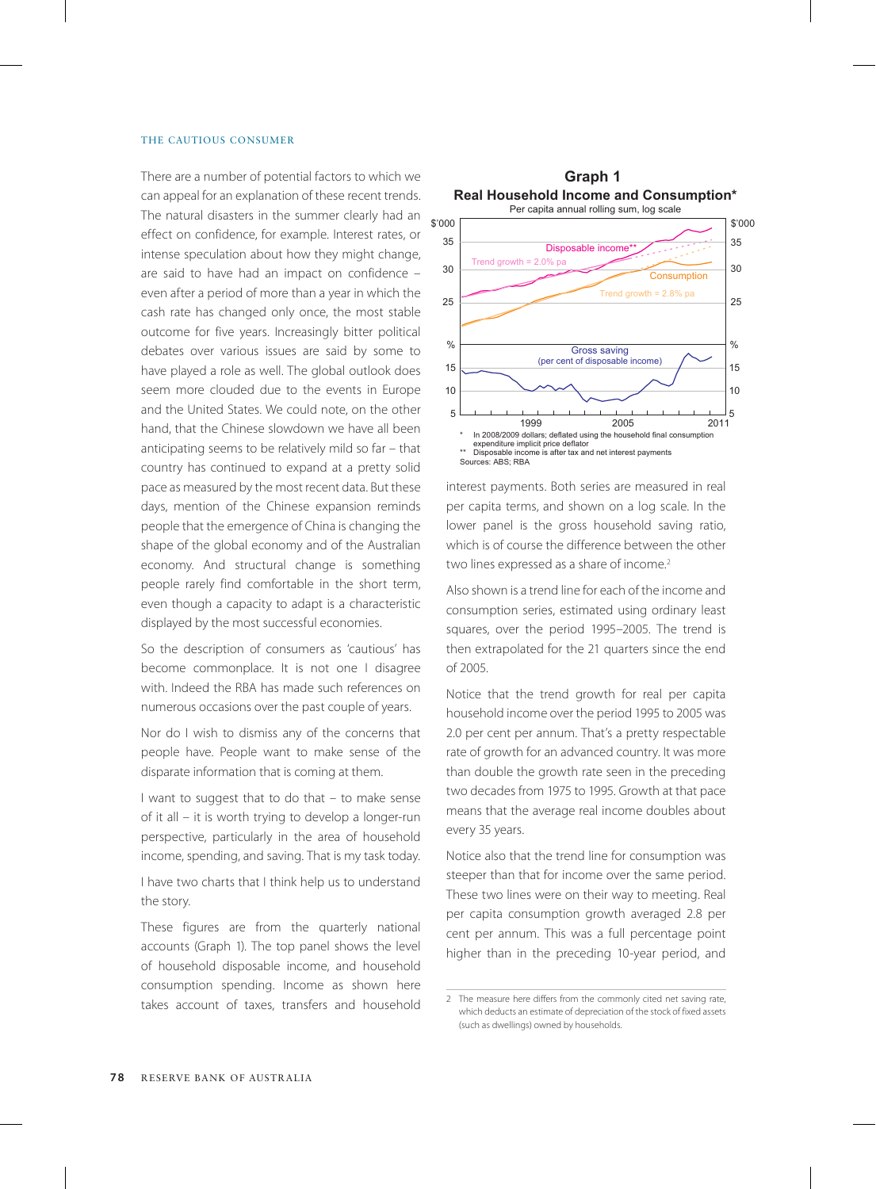### THE CAUTIOUS CONSUMER

There are a number of potential factors to which we can appeal for an explanation of these recent trends. The natural disasters in the summer clearly had an effect on confidence, for example. Interest rates, or intense speculation about how they might change, are said to have had an impact on confidence – even after a period of more than a year in which the cash rate has changed only once, the most stable outcome for five years. Increasingly bitter political debates over various issues are said by some to have played a role as well. The global outlook does seem more clouded due to the events in Europe and the United States. We could note, on the other hand, that the Chinese slowdown we have all been anticipating seems to be relatively mild so far – that country has continued to expand at a pretty solid pace as measured by the most recent data. But these days, mention of the Chinese expansion reminds people that the emergence of China is changing the shape of the global economy and of the Australian economy. And structural change is something people rarely find comfortable in the short term, even though a capacity to adapt is a characteristic displayed by the most successful economies.

So the description of consumers as 'cautious' has become commonplace. It is not one I disagree with. Indeed the RBA has made such references on numerous occasions over the past couple of years.

Nor do I wish to dismiss any of the concerns that people have. People want to make sense of the disparate information that is coming at them.

I want to suggest that to do that – to make sense of it all – it is worth trying to develop a longer-run perspective, particularly in the area of household income, spending, and saving. That is my task today.

I have two charts that I think help us to understand the story.

These figures are from the quarterly national accounts (Graph 1). The top panel shows the level of household disposable income, and household consumption spending. Income as shown here takes account of taxes, transfers and household



interest payments. Both series are measured in real per capita terms, and shown on a log scale. In the lower panel is the gross household saving ratio, which is of course the difference between the other two lines expressed as a share of income.<sup>2</sup>

Also shown is a trend line for each of the income and consumption series, estimated using ordinary least squares, over the period 1995–2005. The trend is then extrapolated for the 21 quarters since the end of 2005.

Notice that the trend growth for real per capita household income over the period 1995 to 2005 was 2.0 per cent per annum. That's a pretty respectable rate of growth for an advanced country. It was more than double the growth rate seen in the preceding two decades from 1975 to 1995. Growth at that pace means that the average real income doubles about every 35 years.

Notice also that the trend line for consumption was steeper than that for income over the same period. These two lines were on their way to meeting. Real per capita consumption growth averaged 2.8 per cent per annum. This was a full percentage point higher than in the preceding 10-year period, and

<sup>2</sup> The measure here differs from the commonly cited net saying rate, which deducts an estimate of depreciation of the stock of fixed assets (such as dwellings) owned by households.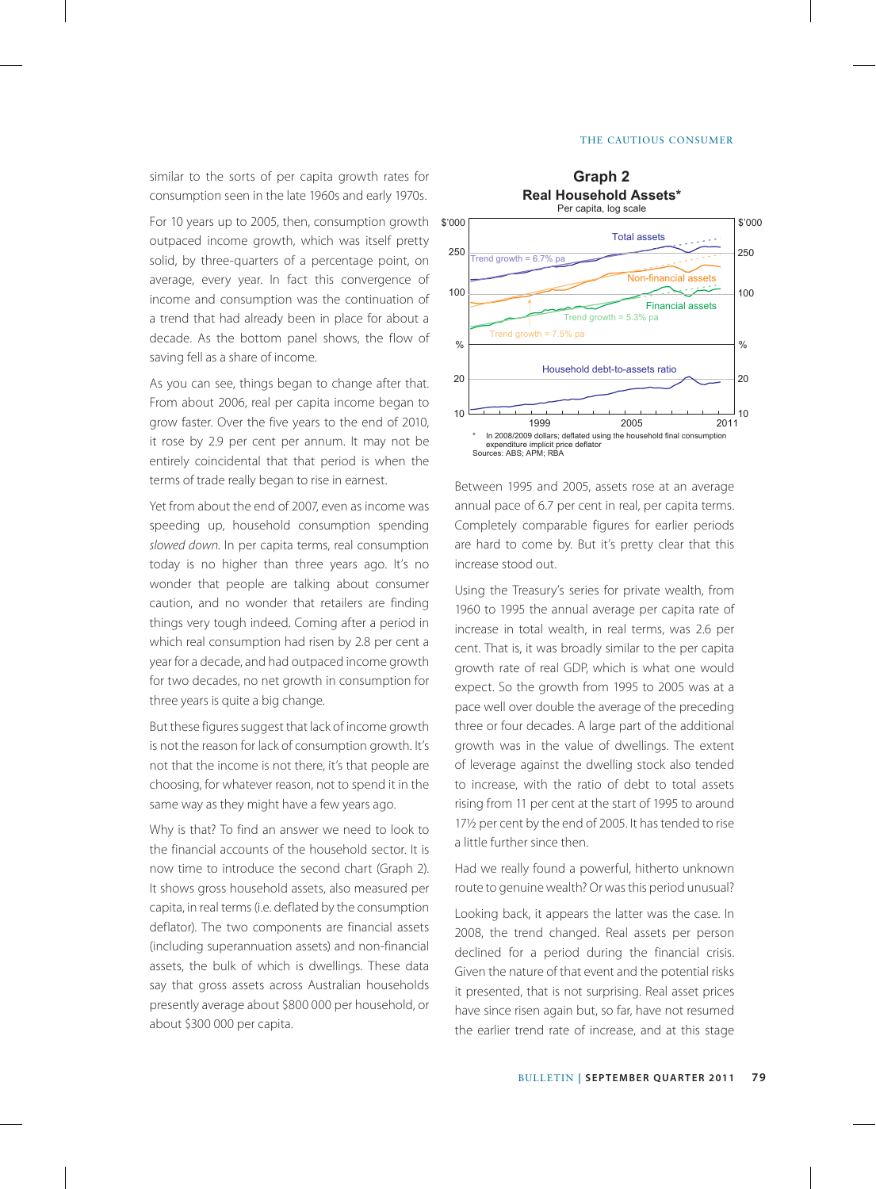#### The Cautious Consumer

similar to the sorts of per capita growth rates for consumption seen in the late 1960s and early 1970s.

For 10 years up to 2005, then, consumption growth outpaced income growth, which was itself pretty solid, by three-quarters of a percentage point, on average, every year. In fact this convergence of income and consumption was the continuation of a trend that had already been in place for about a decade. As the bottom panel shows, the flow of saving fell as a share of income.

As you can see, things began to change after that. From about 2006, real per capita income began to grow faster. Over the five years to the end of 2010, it rose by 2.9 per cent per annum. It may not be entirely coincidental that that period is when the terms of trade really began to rise in earnest.

Yet from about the end of 2007, even as income was speeding up, household consumption spending *slowed down*. In per capita terms, real consumption today is no higher than three years ago. It's no wonder that people are talking about consumer caution, and no wonder that retailers are finding things very tough indeed. Coming after a period in which real consumption had risen by 2.8 per cent a year for a decade, and had outpaced income growth for two decades, no net growth in consumption for three years is quite a big change.

But these figures suggest that lack of income growth is not the reason for lack of consumption growth. It's not that the income is not there, it's that people are choosing, for whatever reason, not to spend it in the same way as they might have a few years ago.

Why is that? To find an answer we need to look to the financial accounts of the household sector. It is now time to introduce the second chart (Graph 2). It shows gross household assets, also measured per capita, in real terms (i.e. deflated by the consumption deflator). The two components are financial assets (including superannuation assets) and non-financial assets, the bulk of which is dwellings. These data say that gross assets across Australian households presently average about \$800 000 per household, or about \$300 000 per capita.



Between 1995 and 2005, assets rose at an average annual pace of 6.7 per cent in real, per capita terms. Completely comparable figures for earlier periods are hard to come by. But it's pretty clear that this increase stood out.

Using the Treasury's series for private wealth, from 1960 to 1995 the annual average per capita rate of increase in total wealth, in real terms, was 2.6 per cent. That is, it was broadly similar to the per capita growth rate of real GDP, which is what one would expect. So the growth from 1995 to 2005 was at a pace well over double the average of the preceding three or four decades. A large part of the additional growth was in the value of dwellings. The extent of leverage against the dwelling stock also tended to increase, with the ratio of debt to total assets rising from 11 per cent at the start of 1995 to around 17½ per cent by the end of 2005. It has tended to rise a little further since then.

Had we really found a powerful, hitherto unknown route to genuine wealth? Or was this period unusual?

Looking back, it appears the latter was the case. In 2008, the trend changed. Real assets per person declined for a period during the financial crisis. Given the nature of that event and the potential risks it presented, that is not surprising. Real asset prices have since risen again but, so far, have not resumed the earlier trend rate of increase, and at this stage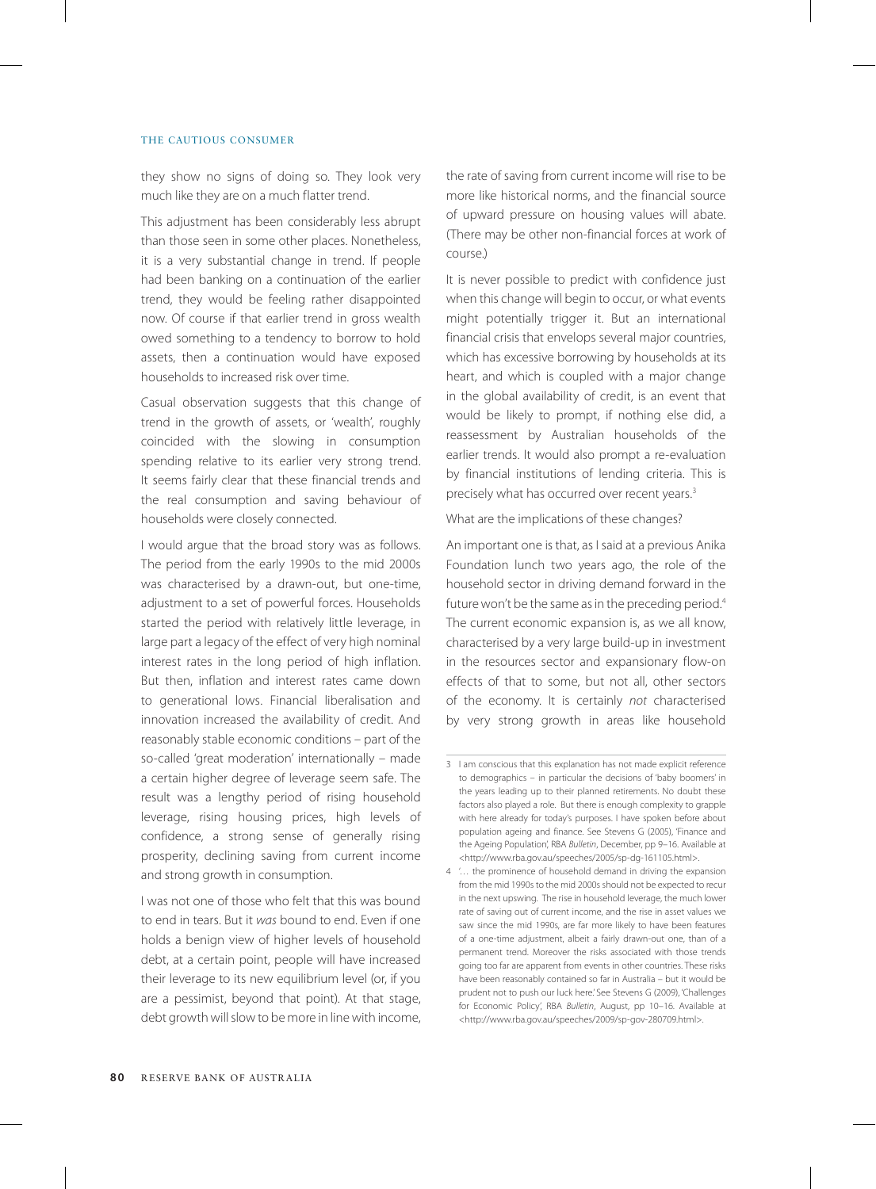# THE CAUTIOUS CONSUMER

they show no signs of doing so. They look very much like they are on a much flatter trend.

This adjustment has been considerably less abrupt than those seen in some other places. Nonetheless, it is a very substantial change in trend. If people had been banking on a continuation of the earlier trend, they would be feeling rather disappointed now. Of course if that earlier trend in gross wealth owed something to a tendency to borrow to hold assets, then a continuation would have exposed households to increased risk over time.

Casual observation suggests that this change of trend in the growth of assets, or 'wealth', roughly coincided with the slowing in consumption spending relative to its earlier very strong trend. It seems fairly clear that these financial trends and the real consumption and saving behaviour of households were closely connected.

I would argue that the broad story was as follows. The period from the early 1990s to the mid 2000s was characterised by a drawn-out, but one-time, adjustment to a set of powerful forces. Households started the period with relatively little leverage, in large part a legacy of the effect of very high nominal interest rates in the long period of high inflation. But then, inflation and interest rates came down to generational lows. Financial liberalisation and innovation increased the availability of credit. And reasonably stable economic conditions – part of the so-called 'great moderation' internationally – made a certain higher degree of leverage seem safe. The result was a lengthy period of rising household leverage, rising housing prices, high levels of confidence, a strong sense of generally rising prosperity, declining saving from current income and strong growth in consumption.

I was not one of those who felt that this was bound to end in tears. But it *was* bound to end. Even if one holds a benign view of higher levels of household debt, at a certain point, people will have increased their leverage to its new equilibrium level (or, if you are a pessimist, beyond that point). At that stage, debt growth will slow to be more in line with income, the rate of saving from current income will rise to be more like historical norms, and the financial source of upward pressure on housing values will abate. (There may be other non-financial forces at work of course.)

It is never possible to predict with confidence just when this change will begin to occur, or what events might potentially trigger it. But an international financial crisis that envelops several major countries, which has excessive borrowing by households at its heart, and which is coupled with a major change in the global availability of credit, is an event that would be likely to prompt, if nothing else did, a reassessment by Australian households of the earlier trends. It would also prompt a re-evaluation by financial institutions of lending criteria. This is precisely what has occurred over recent years.<sup>3</sup>

# What are the implications of these changes?

An important one is that, as I said at a previous Anika Foundation lunch two years ago, the role of the household sector in driving demand forward in the future won't be the same as in the preceding period.<sup>4</sup> The current economic expansion is, as we all know, characterised by a very large build-up in investment in the resources sector and expansionary flow-on effects of that to some, but not all, other sectors of the economy. It is certainly *not* characterised by very strong growth in areas like household

<sup>3</sup> I am conscious that this explanation has not made explicit reference to demographics – in particular the decisions of 'baby boomers' in the years leading up to their planned retirements. No doubt these factors also played a role. But there is enough complexity to grapple with here already for today's purposes. I have spoken before about population ageing and finance. See Stevens G (2005), 'Finance and the Ageing Population', RBA *Bulletin*, December, pp 9–16. Available at <http://www.rba.gov.au/speeches/2005/sp-dg-161105.html>.

<sup>4</sup> '… the prominence of household demand in driving the expansion from the mid 1990s to the mid 2000s should not be expected to recur in the next upswing. The rise in household leverage, the much lower rate of saving out of current income, and the rise in asset values we saw since the mid 1990s, are far more likely to have been features of a one-time adjustment, albeit a fairly drawn-out one, than of a permanent trend. Moreover the risks associated with those trends going too far are apparent from events in other countries. These risks have been reasonably contained so far in Australia – but it would be prudent not to push our luck here.' See Stevens G (2009), 'Challenges for Economic Policy', RBA *Bulletin*, August, pp 10–16. Available at <http://www.rba.gov.au/speeches/2009/sp-gov-280709.html>.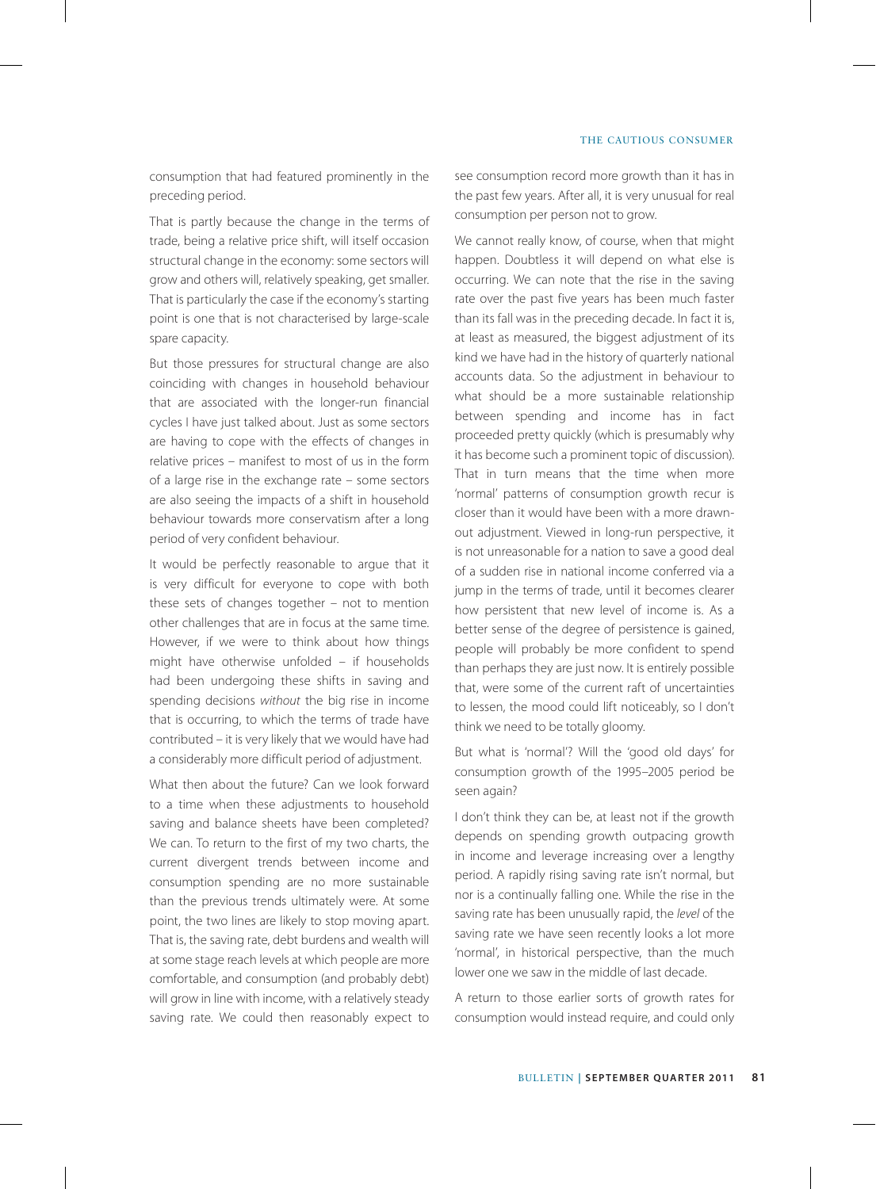consumption that had featured prominently in the preceding period.

That is partly because the change in the terms of trade, being a relative price shift, will itself occasion structural change in the economy: some sectors will grow and others will, relatively speaking, get smaller. That is particularly the case if the economy's starting point is one that is not characterised by large-scale spare capacity.

But those pressures for structural change are also coinciding with changes in household behaviour that are associated with the longer-run financial cycles I have just talked about. Just as some sectors are having to cope with the effects of changes in relative prices – manifest to most of us in the form of a large rise in the exchange rate – some sectors are also seeing the impacts of a shift in household behaviour towards more conservatism after a long period of very confident behaviour.

It would be perfectly reasonable to argue that it is very difficult for everyone to cope with both these sets of changes together – not to mention other challenges that are in focus at the same time. However, if we were to think about how things might have otherwise unfolded – if households had been undergoing these shifts in saving and spending decisions *without* the big rise in income that is occurring, to which the terms of trade have contributed – it is very likely that we would have had a considerably more difficult period of adjustment.

What then about the future? Can we look forward to a time when these adjustments to household saving and balance sheets have been completed? We can. To return to the first of my two charts, the current divergent trends between income and consumption spending are no more sustainable than the previous trends ultimately were. At some point, the two lines are likely to stop moving apart. That is, the saving rate, debt burdens and wealth will at some stage reach levels at which people are more comfortable, and consumption (and probably debt) will grow in line with income, with a relatively steady saving rate. We could then reasonably expect to see consumption record more growth than it has in the past few years. After all, it is very unusual for real consumption per person not to grow.

We cannot really know, of course, when that might happen. Doubtless it will depend on what else is occurring. We can note that the rise in the saving rate over the past five years has been much faster than its fall was in the preceding decade. In fact it is, at least as measured, the biggest adjustment of its kind we have had in the history of quarterly national accounts data. So the adjustment in behaviour to what should be a more sustainable relationship between spending and income has in fact proceeded pretty quickly (which is presumably why it has become such a prominent topic of discussion). That in turn means that the time when more 'normal' patterns of consumption growth recur is closer than it would have been with a more drawnout adjustment. Viewed in long-run perspective, it is not unreasonable for a nation to save a good deal of a sudden rise in national income conferred via a jump in the terms of trade, until it becomes clearer how persistent that new level of income is. As a better sense of the degree of persistence is gained, people will probably be more confident to spend than perhaps they are just now. It is entirely possible that, were some of the current raft of uncertainties to lessen, the mood could lift noticeably, so I don't think we need to be totally gloomy.

But what is 'normal'? Will the 'good old days' for consumption growth of the 1995–2005 period be seen again?

I don't think they can be, at least not if the growth depends on spending growth outpacing growth in income and leverage increasing over a lengthy period. A rapidly rising saving rate isn't normal, but nor is a continually falling one. While the rise in the saving rate has been unusually rapid, the *level* of the saving rate we have seen recently looks a lot more 'normal', in historical perspective, than the much lower one we saw in the middle of last decade.

A return to those earlier sorts of growth rates for consumption would instead require, and could only